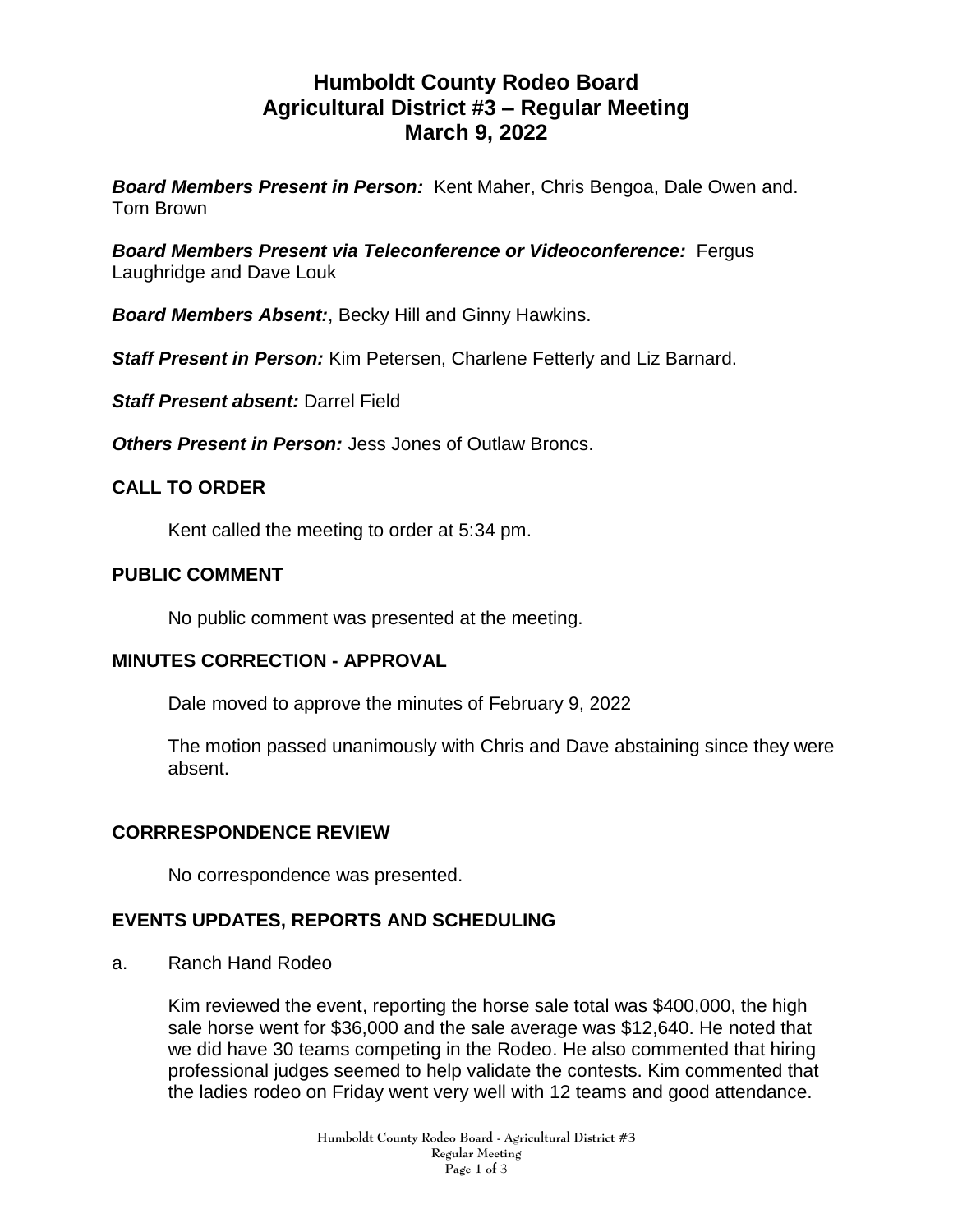# **Humboldt County Rodeo Board Agricultural District #3 – Regular Meeting March 9, 2022**

*Board Members Present in Person:* Kent Maher, Chris Bengoa, Dale Owen and. Tom Brown

*Board Members Present via Teleconference or Videoconference:* Fergus Laughridge and Dave Louk

*Board Members Absent:*, Becky Hill and Ginny Hawkins.

*Staff Present in Person:* Kim Petersen, Charlene Fetterly and Liz Barnard.

*Staff Present absent:* Darrel Field

**Others Present in Person:** Jess Jones of Outlaw Broncs.

### **CALL TO ORDER**

Kent called the meeting to order at 5:34 pm.

### **PUBLIC COMMENT**

No public comment was presented at the meeting.

### **MINUTES CORRECTION - APPROVAL**

Dale moved to approve the minutes of February 9, 2022

The motion passed unanimously with Chris and Dave abstaining since they were absent.

### **CORRRESPONDENCE REVIEW**

No correspondence was presented.

### **EVENTS UPDATES, REPORTS AND SCHEDULING**

a. Ranch Hand Rodeo

Kim reviewed the event, reporting the horse sale total was \$400,000, the high sale horse went for \$36,000 and the sale average was \$12,640. He noted that we did have 30 teams competing in the Rodeo. He also commented that hiring professional judges seemed to help validate the contests. Kim commented that the ladies rodeo on Friday went very well with 12 teams and good attendance.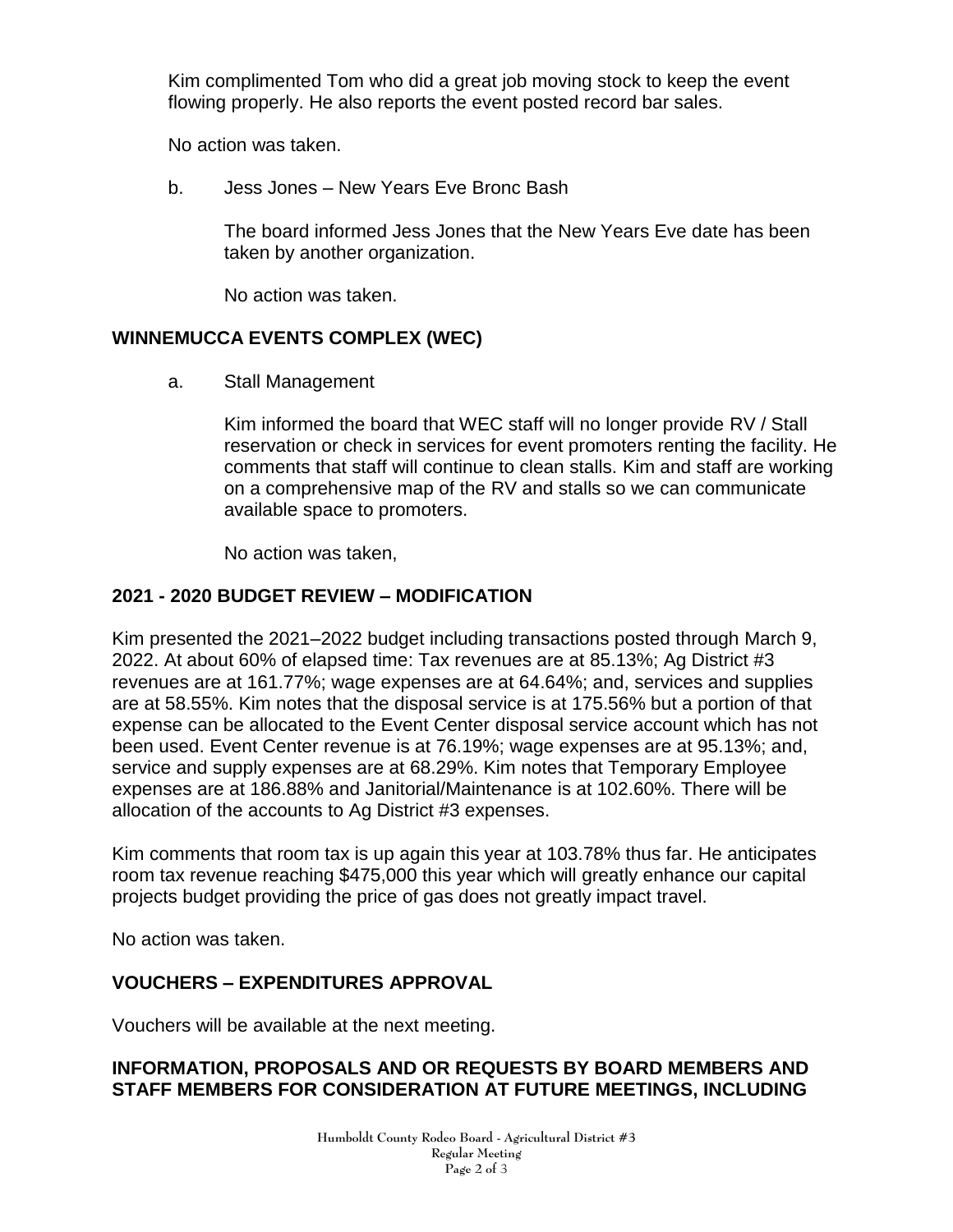Kim complimented Tom who did a great job moving stock to keep the event flowing properly. He also reports the event posted record bar sales.

No action was taken.

b. Jess Jones – New Years Eve Bronc Bash

The board informed Jess Jones that the New Years Eve date has been taken by another organization.

No action was taken.

### **WINNEMUCCA EVENTS COMPLEX (WEC)**

a. Stall Management

Kim informed the board that WEC staff will no longer provide RV / Stall reservation or check in services for event promoters renting the facility. He comments that staff will continue to clean stalls. Kim and staff are working on a comprehensive map of the RV and stalls so we can communicate available space to promoters.

No action was taken,

## **2021 - 2020 BUDGET REVIEW – MODIFICATION**

Kim presented the 2021–2022 budget including transactions posted through March 9, 2022. At about 60% of elapsed time: Tax revenues are at 85.13%; Ag District #3 revenues are at 161.77%; wage expenses are at 64.64%; and, services and supplies are at 58.55%. Kim notes that the disposal service is at 175.56% but a portion of that expense can be allocated to the Event Center disposal service account which has not been used. Event Center revenue is at 76.19%; wage expenses are at 95.13%; and, service and supply expenses are at 68.29%. Kim notes that Temporary Employee expenses are at 186.88% and Janitorial/Maintenance is at 102.60%. There will be allocation of the accounts to Ag District #3 expenses.

Kim comments that room tax is up again this year at 103.78% thus far. He anticipates room tax revenue reaching \$475,000 this year which will greatly enhance our capital projects budget providing the price of gas does not greatly impact travel.

No action was taken.

# **VOUCHERS – EXPENDITURES APPROVAL**

Vouchers will be available at the next meeting.

### **INFORMATION, PROPOSALS AND OR REQUESTS BY BOARD MEMBERS AND STAFF MEMBERS FOR CONSIDERATION AT FUTURE MEETINGS, INCLUDING**